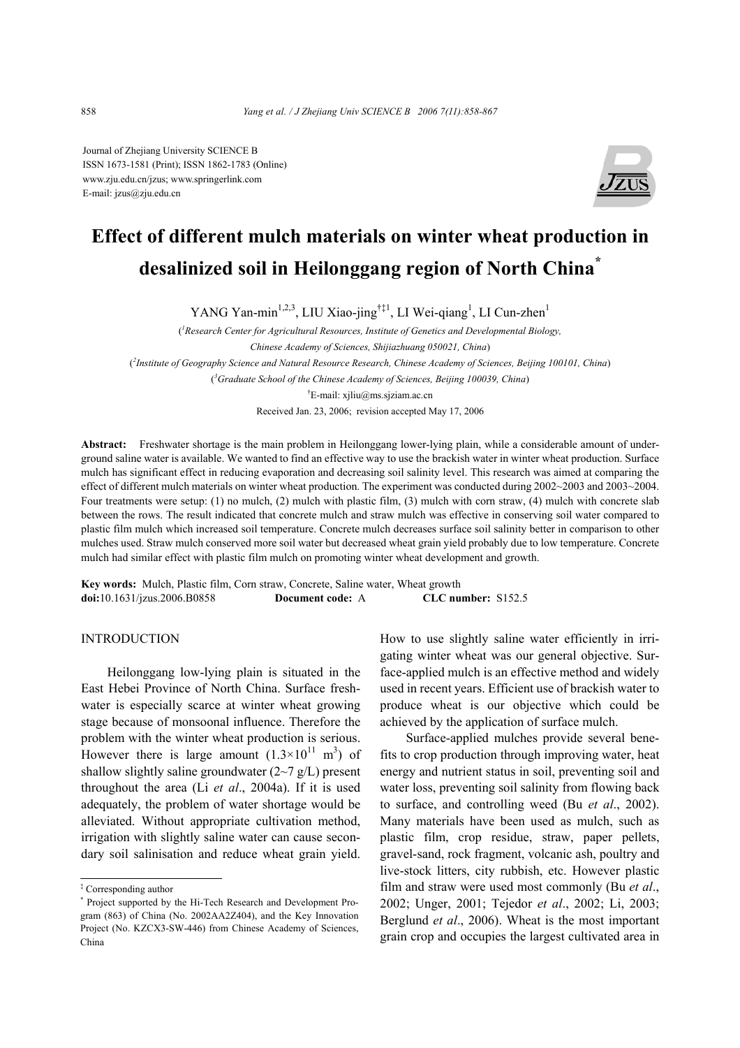Journal of Zhejiang University SCIENCE B ISSN 1673-1581 (Print); ISSN 1862-1783 (Online) www.zju.edu.cn/jzus; www.springerlink.com E-mail: jzus@zju.edu.cn



# **Effect of different mulch materials on winter wheat production in desalinized soil in Heilonggang region of North China\***

YANG Yan-min<sup>1,2,3</sup>, LIU Xiao-jing<sup>†‡1</sup>, LI Wei-qiang<sup>1</sup>, LI Cun-zhen<sup>1</sup>

( *1 Research Center for Agricultural Resources, Institute of Genetics and Developmental Biology, Chinese Academy of Sciences, Shijiazhuang 050021, China*) ( *2 Institute of Geography Science and Natural Resource Research, Chinese Academy of Sciences, Beijing 100101, China*) ( *3 Graduate School of the Chinese Academy of Sciences, Beijing 100039, China*)

† E-mail: xjliu@ms.sjziam.ac.cn

Received Jan. 23, 2006; revision accepted May 17, 2006

**Abstract:** Freshwater shortage is the main problem in Heilonggang lower-lying plain, while a considerable amount of underground saline water is available. We wanted to find an effective way to use the brackish water in winter wheat production. Surface mulch has significant effect in reducing evaporation and decreasing soil salinity level. This research was aimed at comparing the effect of different mulch materials on winter wheat production. The experiment was conducted during 2002~2003 and 2003~2004. Four treatments were setup: (1) no mulch, (2) mulch with plastic film, (3) mulch with corn straw, (4) mulch with concrete slab between the rows. The result indicated that concrete mulch and straw mulch was effective in conserving soil water compared to plastic film mulch which increased soil temperature. Concrete mulch decreases surface soil salinity better in comparison to other mulches used. Straw mulch conserved more soil water but decreased wheat grain yield probably due to low temperature. Concrete mulch had similar effect with plastic film mulch on promoting winter wheat development and growth.

**Key words:** Mulch, Plastic film, Corn straw, Concrete, Saline water, Wheat growth **doi:**10.1631/jzus.2006.B0858 **Document code:** A **CLC number:** S152.5

# **INTRODUCTION**

Heilonggang low-lying plain is situated in the East Hebei Province of North China. Surface freshwater is especially scarce at winter wheat growing stage because of monsoonal influence. Therefore the problem with the winter wheat production is serious. However there is large amount  $(1.3 \times 10^{11} \text{ m}^3)$  of shallow slightly saline groundwater  $(2\text{--}7 \text{ g/L})$  present throughout the area (Li *et al*., 2004a). If it is used adequately, the problem of water shortage would be alleviated. Without appropriate cultivation method, irrigation with slightly saline water can cause secondary soil salinisation and reduce wheat grain yield.

How to use slightly saline water efficiently in irrigating winter wheat was our general objective. Surface-applied mulch is an effective method and widely used in recent years. Efficient use of brackish water to produce wheat is our objective which could be achieved by the application of surface mulch.

Surface-applied mulches provide several benefits to crop production through improving water, heat energy and nutrient status in soil, preventing soil and water loss, preventing soil salinity from flowing back to surface, and controlling weed (Bu *et al*., 2002). Many materials have been used as mulch, such as plastic film, crop residue, straw, paper pellets, gravel-sand, rock fragment, volcanic ash, poultry and live-stock litters, city rubbish, etc. However plastic film and straw were used most commonly (Bu *et al*., 2002; Unger, 2001; Tejedor *et al*., 2002; Li, 2003; Berglund *et al*., 2006). Wheat is the most important grain crop and occupies the largest cultivated area in

<sup>‡</sup> Corresponding author

<sup>\*</sup> Project supported by the Hi-Tech Research and Development Program (863) of China (No. 2002AA2Z404), and the Key Innovation Project (No. KZCX3-SW-446) from Chinese Academy of Sciences, China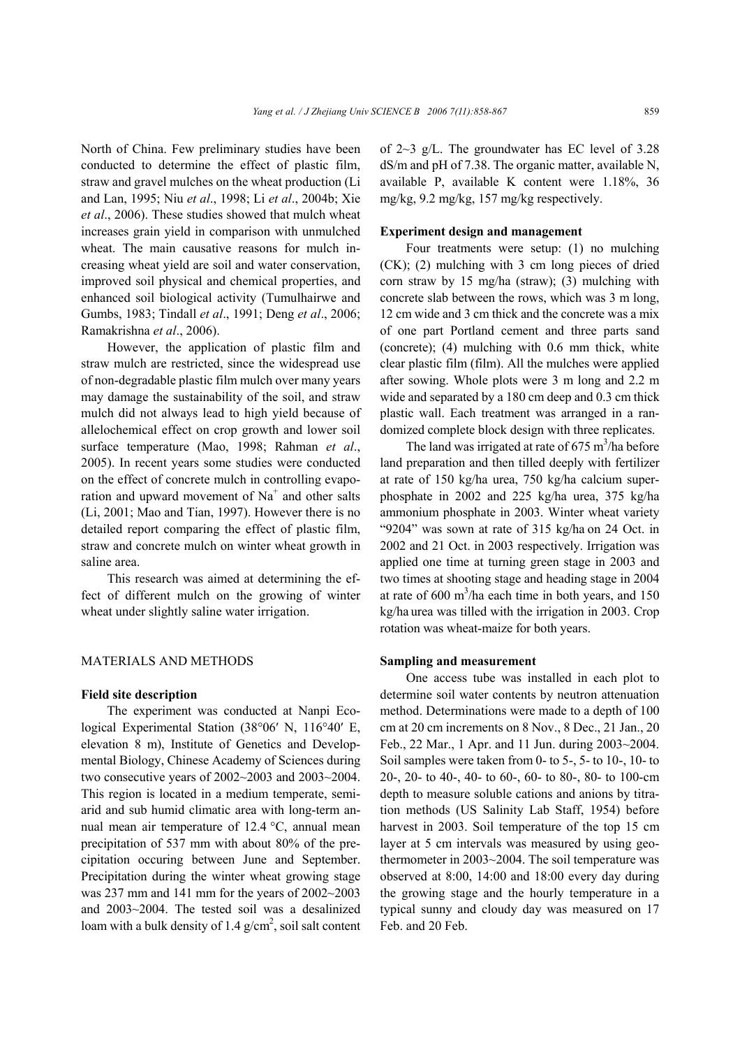North of China. Few preliminary studies have been conducted to determine the effect of plastic film, straw and gravel mulches on the wheat production (Li and Lan, 1995; Niu *et al*., 1998; Li *et al*., 2004b; Xie *et al*., 2006). These studies showed that mulch wheat increases grain yield in comparison with unmulched wheat. The main causative reasons for mulch increasing wheat yield are soil and water conservation, improved soil physical and chemical properties, and enhanced soil biological activity (Tumulhairwe and Gumbs, 1983; Tindall *et al*., 1991; Deng *et al*., 2006; Ramakrishna *et al*., 2006).

However, the application of plastic film and straw mulch are restricted, since the widespread use of non-degradable plastic film mulch over many years may damage the sustainability of the soil, and straw mulch did not always lead to high yield because of allelochemical effect on crop growth and lower soil surface temperature (Mao, 1998; Rahman *et al*., 2005). In recent years some studies were conducted on the effect of concrete mulch in controlling evaporation and upward movement of  $Na<sup>+</sup>$  and other salts (Li, 2001; Mao and Tian, 1997). However there is no detailed report comparing the effect of plastic film, straw and concrete mulch on winter wheat growth in saline area.

This research was aimed at determining the effect of different mulch on the growing of winter wheat under slightly saline water irrigation.

# MATERIALS AND METHODS

#### **Field site description**

The experiment was conducted at Nanpi Ecological Experimental Station (38°06′ N, 116°40′ E, elevation 8 m), Institute of Genetics and Developmental Biology, Chinese Academy of Sciences during two consecutive years of 2002~2003 and 2003~2004. This region is located in a medium temperate, semiarid and sub humid climatic area with long-term annual mean air temperature of 12.4 °C, annual mean precipitation of 537 mm with about 80% of the precipitation occuring between June and September. Precipitation during the winter wheat growing stage was 237 mm and 141 mm for the years of 2002~2003 and 2003~2004. The tested soil was a desalinized loam with a bulk density of 1.4  $g/cm^2$ , soil salt content of 2~3 g/L. The groundwater has EC level of 3.28 dS/m and pH of 7.38. The organic matter, available N, available P, available K content were 1.18%, 36 mg/kg, 9.2 mg/kg, 157 mg/kg respectively.

#### **Experiment design and management**

Four treatments were setup: (1) no mulching (CK); (2) mulching with 3 cm long pieces of dried corn straw by 15 mg/ha (straw); (3) mulching with concrete slab between the rows, which was 3 m long, 12 cm wide and 3 cm thick and the concrete was a mix of one part Portland cement and three parts sand (concrete); (4) mulching with 0.6 mm thick, white clear plastic film (film). All the mulches were applied after sowing. Whole plots were 3 m long and 2.2 m wide and separated by a 180 cm deep and 0.3 cm thick plastic wall. Each treatment was arranged in a randomized complete block design with three replicates.

The land was irrigated at rate of  $675 \text{ m}^3/\text{ha}$  before land preparation and then tilled deeply with fertilizer at rate of 150 kg/ha urea, 750 kg/ha calcium superphosphate in 2002 and 225 kg/ha urea, 375 kg/ha ammonium phosphate in 2003. Winter wheat variety "9204" was sown at rate of 315 kg/ha on 24 Oct. in 2002 and 21 Oct. in 2003 respectively. Irrigation was applied one time at turning green stage in 2003 and two times at shooting stage and heading stage in 2004 at rate of  $600 \text{ m}^3$ /ha each time in both years, and  $150$ kg/ha urea was tilled with the irrigation in 2003. Crop rotation was wheat-maize for both years.

# **Sampling and measurement**

One access tube was installed in each plot to determine soil water contents by neutron attenuation method. Determinations were made to a depth of 100 cm at 20 cm increments on 8 Nov., 8 Dec., 21 Jan., 20 Feb., 22 Mar., 1 Apr. and 11 Jun. during 2003~2004. Soil samples were taken from 0- to 5-, 5- to 10-, 10- to 20-, 20- to 40-, 40- to 60-, 60- to 80-, 80- to 100-cm depth to measure soluble cations and anions by titration methods (US Salinity Lab Staff, 1954) before harvest in 2003. Soil temperature of the top 15 cm layer at 5 cm intervals was measured by using geothermometer in 2003~2004. The soil temperature was observed at 8:00, 14:00 and 18:00 every day during the growing stage and the hourly temperature in a typical sunny and cloudy day was measured on 17 Feb. and 20 Feb.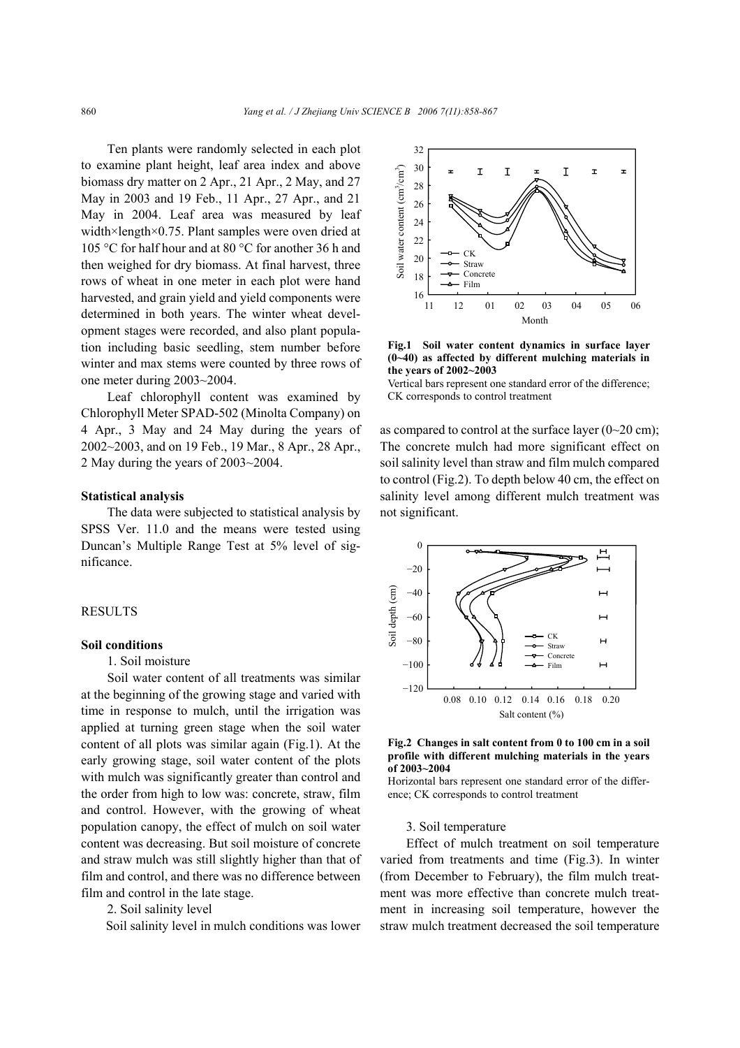Ten plants were randomly selected in each plot to examine plant height, leaf area index and above biomass dry matter on 2 Apr., 21 Apr., 2 May, and 27 May in 2003 and 19 Feb., 11 Apr., 27 Apr., and 21 May in 2004. Leaf area was measured by leaf width×length×0.75. Plant samples were oven dried at 105 °C for half hour and at 80 °C for another 36 h and then weighed for dry biomass. At final harvest, three rows of wheat in one meter in each plot were hand harvested, and grain yield and yield components were determined in both years. The winter wheat development stages were recorded, and also plant population including basic seedling, stem number before winter and max stems were counted by three rows of one meter during 2003~2004.

Leaf chlorophyll content was examined by Chlorophyll Meter SPAD-502 (Minolta Company) on 4 Apr., 3 May and 24 May during the years of 2002~2003, and on 19 Feb., 19 Mar., 8 Apr., 28 Apr., 2 May during the years of 2003~2004.

## **Statistical analysis**

The data were subjected to statistical analysis by SPSS Ver. 11.0 and the means were tested using Duncan's Multiple Range Test at 5% level of significance.

## **RESULTS**

# **Soil conditions**

1. Soil moisture

Soil water content of all treatments was similar at the beginning of the growing stage and varied with time in response to mulch, until the irrigation was applied at turning green stage when the soil water content of all plots was similar again (Fig.1). At the early growing stage, soil water content of the plots with mulch was significantly greater than control and the order from high to low was: concrete, straw, film and control. However, with the growing of wheat population canopy, the effect of mulch on soil water content was decreasing. But soil moisture of concrete and straw mulch was still slightly higher than that of film and control, and there was no difference between film and control in the late stage.

2. Soil salinity level

Soil salinity level in mulch conditions was lower



**Fig.1 Soil water content dynamics in surface layer (0~40) as affected by different mulching materials in the years of 2002~2003** 

Vertical bars represent one standard error of the difference; CK corresponds to control treatment

as compared to control at the surface layer  $(0\text{~}20 \text{ cm})$ ; The concrete mulch had more significant effect on soil salinity level than straw and film mulch compared to control (Fig.2). To depth below 40 cm, the effect on salinity level among different mulch treatment was not significant.





Horizontal bars represent one standard error of the difference; CK corresponds to control treatment

#### 3. Soil temperature

Effect of mulch treatment on soil temperature varied from treatments and time (Fig.3). In winter (from December to February), the film mulch treatment was more effective than concrete mulch treatment in increasing soil temperature, however the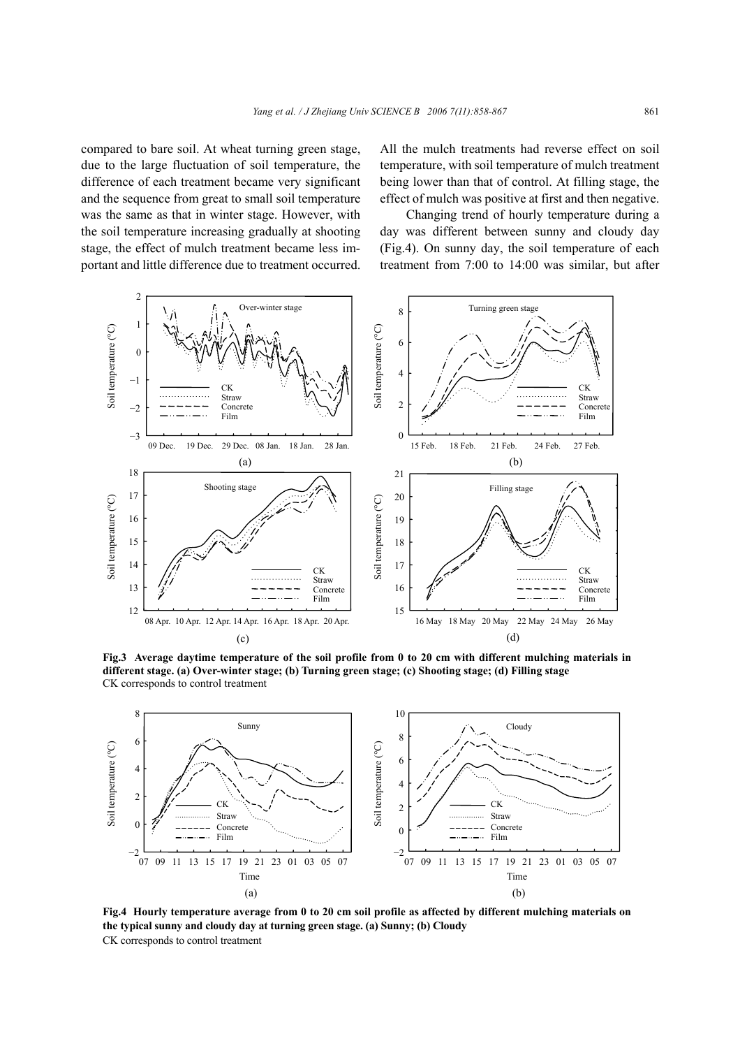compared to bare soil. At wheat turning green stage, due to the large fluctuation of soil temperature, the difference of each treatment became very significant and the sequence from great to small soil temperature was the same as that in winter stage. However, with the soil temperature increasing gradually at shooting stage, the effect of mulch treatment became less important and little difference due to treatment occurred.

All the mulch treatments had reverse effect on soil temperature, with soil temperature of mulch treatment being lower than that of control. At filling stage, the effect of mulch was positive at first and then negative.

Changing trend of hourly temperature during a day was different between sunny and cloudy day (Fig.4). On sunny day, the soil temperature of each treatment from 7:00 to 14:00 was similar, but after



**Fig.3 Average daytime temperature of the soil profile from 0 to 20 cm with different mulching materials in different stage. (a) Over-winter stage; (b) Turning green stage; (c) Shooting stage; (d) Filling stage**  CK corresponds to control treatment



**Fig.4 Hourly temperature average from 0 to 20 cm soil profile as affected by different mulching materials on the typical sunny and cloudy day at turning green stage. (a) Sunny; (b) Cloudy**  CK corresponds to control treatment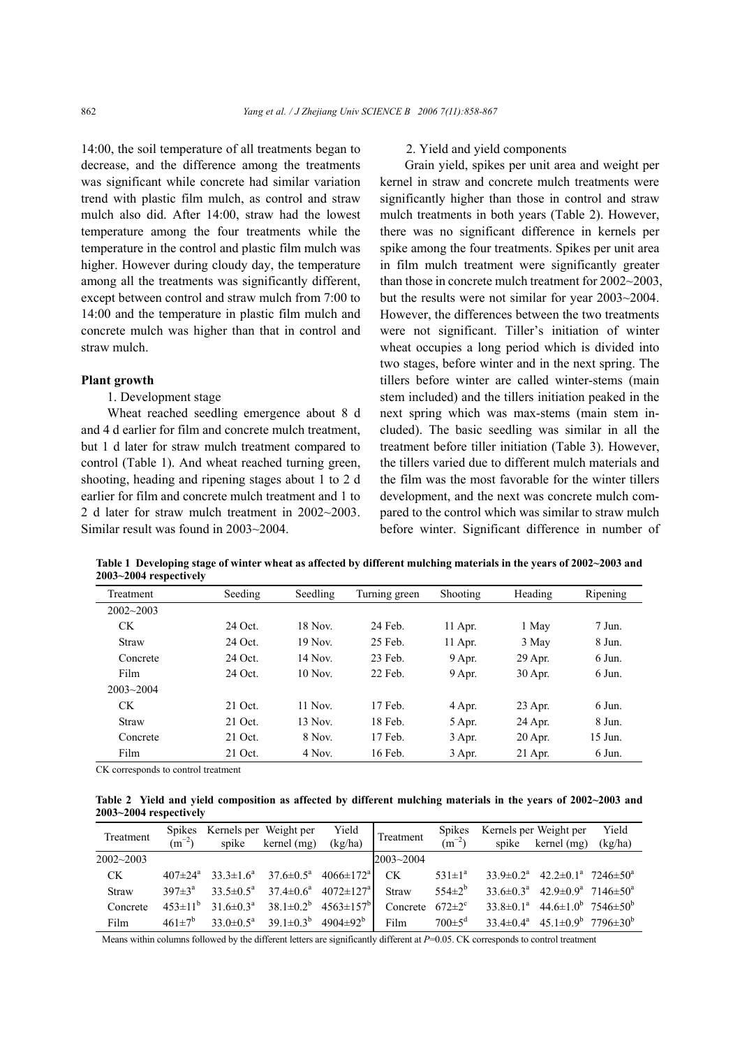14:00, the soil temperature of all treatments began to decrease, and the difference among the treatments was significant while concrete had similar variation trend with plastic film mulch, as control and straw mulch also did. After 14:00, straw had the lowest temperature among the four treatments while the temperature in the control and plastic film mulch was higher. However during cloudy day, the temperature among all the treatments was significantly different, except between control and straw mulch from 7:00 to 14:00 and the temperature in plastic film mulch and concrete mulch was higher than that in control and straw mulch.

#### **Plant growth**

1. Development stage

Wheat reached seedling emergence about 8 d and 4 d earlier for film and concrete mulch treatment, but 1 d later for straw mulch treatment compared to control (Table 1). And wheat reached turning green, shooting, heading and ripening stages about 1 to 2 d earlier for film and concrete mulch treatment and 1 to 2 d later for straw mulch treatment in 2002~2003. Similar result was found in 2003~2004.

#### 2. Yield and yield components

Grain yield, spikes per unit area and weight per kernel in straw and concrete mulch treatments were significantly higher than those in control and straw mulch treatments in both years (Table 2). However, there was no significant difference in kernels per spike among the four treatments. Spikes per unit area in film mulch treatment were significantly greater than those in concrete mulch treatment for 2002~2003, but the results were not similar for year 2003~2004. However, the differences between the two treatments were not significant. Tiller's initiation of winter wheat occupies a long period which is divided into two stages, before winter and in the next spring. The tillers before winter are called winter-stems (main stem included) and the tillers initiation peaked in the next spring which was max-stems (main stem included). The basic seedling was similar in all the treatment before tiller initiation (Table 3). However, the tillers varied due to different mulch materials and the film was the most favorable for the winter tillers development, and the next was concrete mulch compared to the control which was similar to straw mulch before winter. Significant difference in number of

**Table 1 Developing stage of winter wheat as affected by different mulching materials in the years of 2002~2003 and 2003~2004 respectively** 

| Treatment     | Seeding   | Seedling  | Turning green | Shooting  | Heading   | Ripening         |
|---------------|-----------|-----------|---------------|-----------|-----------|------------------|
| $2002 - 2003$ |           |           |               |           |           |                  |
| CK.           | 24 Oct.   | 18 Nov.   | 24 Feb.       | $11$ Apr. | 1 May     | $7$ Jun.         |
| <b>Straw</b>  | 24 Oct.   | $19$ Nov. | $25$ Feb.     | $11$ Apr. | 3 May     | 8 Jun.           |
| Concrete      | 24 Oct.   | $14$ Nov. | $23$ Feb.     | 9 Apr.    | 29 Apr.   | $6 \text{ Jun.}$ |
| Film          | 24 Oct.   | $10$ Nov. | $22$ Feb.     | 9 Apr.    | 30 Apr.   | $6 \text{ Jun.}$ |
| $2003 - 2004$ |           |           |               |           |           |                  |
| CK.           | $21$ Oct. | $11$ Nov. | $17$ Feb.     | 4 Apr.    | 23 Apr.   | $6$ Jun.         |
| <b>Straw</b>  | $21$ Oct. | $13$ Nov. | 18 Feb.       | 5 Apr.    | 24 Apr.   | 8 Jun.           |
| Concrete      | $21$ Oct. | 8 Nov.    | 17 Feb.       | 3 Apr.    | $20$ Apr. | $15$ Jun.        |
| Film          | 21 Oct.   | 4 Nov.    | 16 Feb.       | 3 Apr.    | $21$ Apr. | 6 Jun.           |

CK corresponds to control treatment

**Table 2 Yield and yield composition as affected by different mulching materials in the years of 2002~2003 and 2003~2004 respectively** 

| Treatment     | Spikes<br>$(m^{-2})$ | spike                     | Kernels per Weight per<br>kernel (mg) | Yield<br>(kg/ha)            | Treatment     | <b>Spikes</b><br>$(m^{-2})$ | spike                       | Kernels per Weight per<br>kernel (mg)             | Yield<br>(kg/ha) |
|---------------|----------------------|---------------------------|---------------------------------------|-----------------------------|---------------|-----------------------------|-----------------------------|---------------------------------------------------|------------------|
| $2002 - 2003$ |                      |                           |                                       |                             | $2003 - 2004$ |                             |                             |                                                   |                  |
| <b>CK</b>     | $407 \pm 24^{\circ}$ | $33.3 \pm 1.6^a$          | $37.6 \pm 0.5^{\text{a}}$             | $4066 \pm 172$ <sup>a</sup> | СK            | $531 \pm 1^a$               | $33.9 \pm 0.2^a$            | $42.2 \pm 0.1^{\circ}$ 7246 $\pm$ 50 <sup>a</sup> |                  |
| <b>Straw</b>  | $397 \pm 3^a$        | $33.5 \pm 0.5^{\circ}$    | $37.4 \pm 0.6^a$                      | $4072 \pm 127$ <sup>a</sup> | <b>Straw</b>  | $554 \pm 2^{b}$             | 33.6 $\pm$ 0.3 <sup>a</sup> | $42.9 \pm 0.9^{\circ}$ 7146 $\pm$ 50 <sup>a</sup> |                  |
| Concrete      | $453 \pm 11^{b}$     | $31.6 \pm 0.3^{\text{a}}$ | $38.1 \pm 0.2^b$                      | $4563 \pm 157$ <sup>b</sup> | Concrete      | $672 \pm 2$ <sup>c</sup>    | 33 $8\pm 0$ 1 <sup>a</sup>  | 44.6±1.0 <sup>b</sup> 7546±50 <sup>b</sup>        |                  |
| Film          | $461 \pm 7^{b}$      | $33.0 \pm 0.5^{\text{a}}$ | $39.1 \pm 0.3^b$                      | $4904 \pm 92^{6}$           | Film          | $700\pm5^{\rm d}$           | $33.4 \pm 0.4^{\circ}$      | $45.1\pm0.9^{\rm b}$ 7796 $\pm30^{\rm b}$         |                  |

Means within columns followed by the different letters are significantly different at *P*=0.05. CK corresponds to control treatment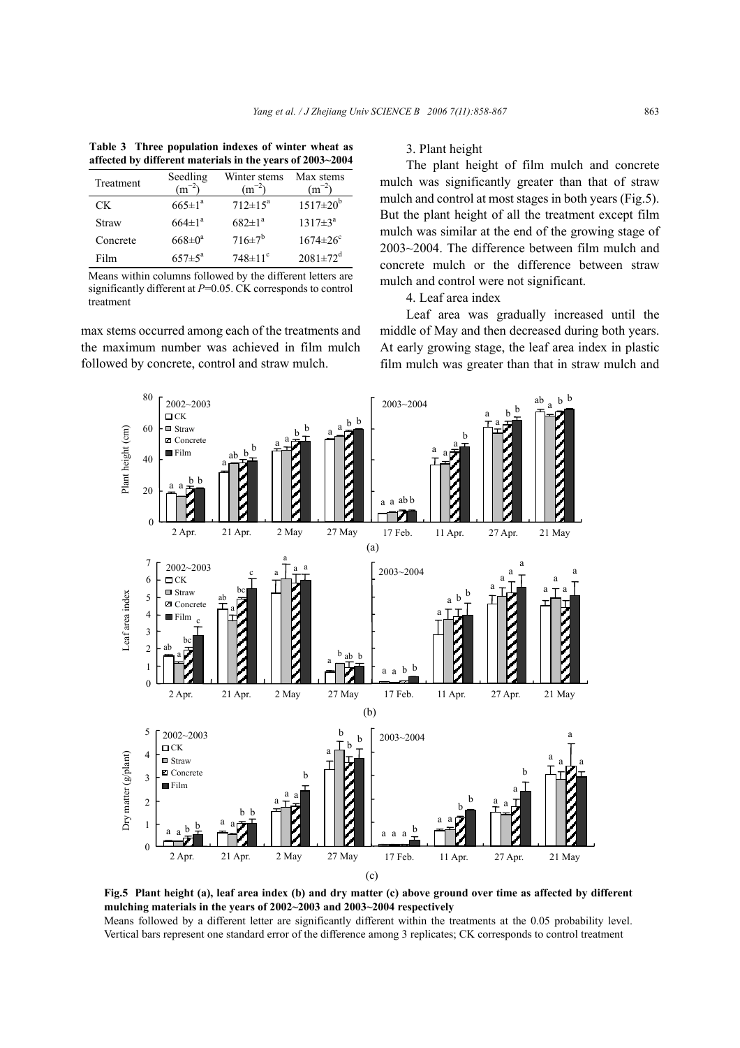**Table 3 Three population indexes of winter wheat as affected by different materials in the years of 2003~2004**

| Treatment    | Seedling<br>$\rm (m^{-2}$ | Winter stems<br>$(m^{-2}$ | Max stems<br>(m            |
|--------------|---------------------------|---------------------------|----------------------------|
| CК           | $665 \pm 1^{\circ}$       | $712 \pm 15^{\circ}$      | $1517 \pm 20^b$            |
| <b>Straw</b> | $664 \pm 1^{\text{a}}$    | $682 \pm 1^a$             | $1317 \pm 3^a$             |
| Concrete     | $668 \pm 0^a$             | $716 \pm 7^b$             | $1674 \pm 26^{\circ}$      |
| Film         | $657 \pm 5^{\circ}$       | $748 \pm 11^{\circ}$      | $2081 \pm 72$ <sup>d</sup> |

Means within columns followed by the different letters are significantly different at *P*=0.05. CK corresponds to control treatment

max stems occurred among each of the treatments and the maximum number was achieved in film mulch followed by concrete, control and straw mulch.

## 3. Plant height

The plant height of film mulch and concrete mulch was significantly greater than that of straw mulch and control at most stages in both years (Fig.5). But the plant height of all the treatment except film mulch was similar at the end of the growing stage of 2003~2004. The difference between film mulch and concrete mulch or the difference between straw mulch and control were not significant.

4. Leaf area index

Leaf area was gradually increased until the middle of May and then decreased during both years. At early growing stage, the leaf area index in plastic film mulch was greater than that in straw mulch and



**Fig.5 Plant height (a), leaf area index (b) and dry matter (c) above ground over time as affected by different mulching materials in the years of 2002~2003 and 2003~2004 respectively**  Means followed by a different letter are significantly different within the treatments at the 0.05 probability level.

Vertical bars represent one standard error of the difference among 3 replicates; CK corresponds to control treatment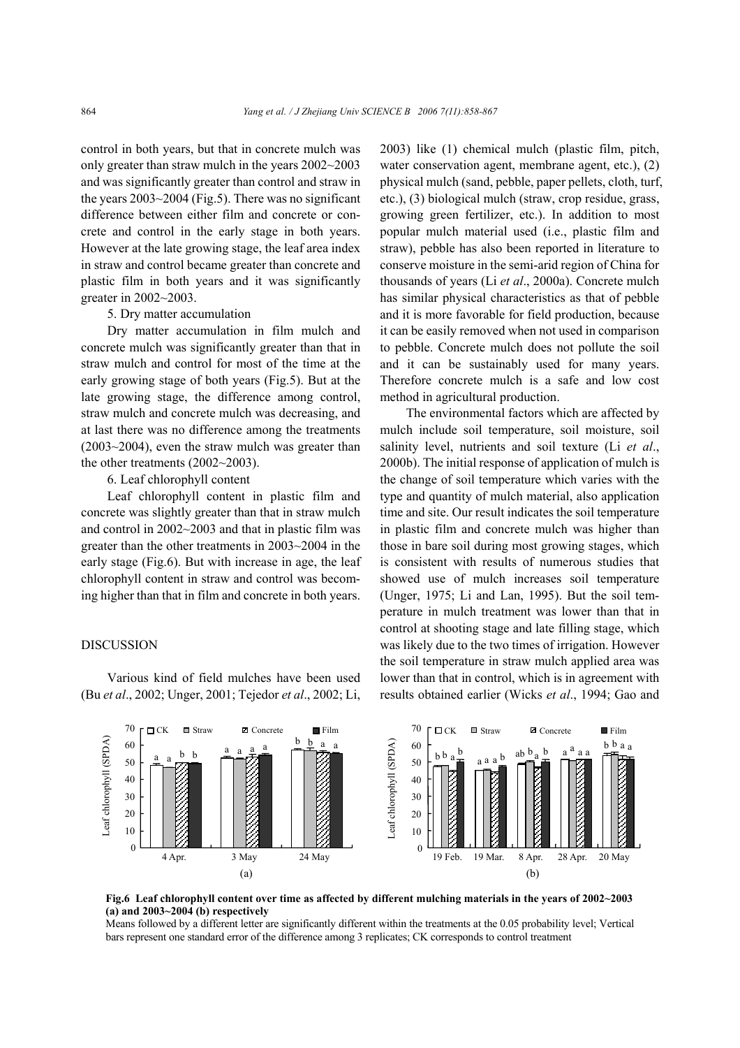control in both years, but that in concrete mulch was only greater than straw mulch in the years 2002~2003 and was significantly greater than control and straw in the years 2003~2004 (Fig.5). There was no significant difference between either film and concrete or concrete and control in the early stage in both years. However at the late growing stage, the leaf area index in straw and control became greater than concrete and plastic film in both years and it was significantly greater in 2002~2003.

#### 5. Dry matter accumulation

Dry matter accumulation in film mulch and concrete mulch was significantly greater than that in straw mulch and control for most of the time at the early growing stage of both years (Fig.5). But at the late growing stage, the difference among control, straw mulch and concrete mulch was decreasing, and at last there was no difference among the treatments (2003~2004), even the straw mulch was greater than the other treatments (2002~2003).

### 6. Leaf chlorophyll content

Leaf chlorophyll content in plastic film and concrete was slightly greater than that in straw mulch and control in 2002~2003 and that in plastic film was greater than the other treatments in 2003~2004 in the early stage (Fig.6). But with increase in age, the leaf chlorophyll content in straw and control was becoming higher than that in film and concrete in both years.

## DISCUSSION

Various kind of field mulches have been used (Bu *et al*., 2002; Unger, 2001; Tejedor *et al*., 2002; Li, 2003) like (1) chemical mulch (plastic film, pitch, water conservation agent, membrane agent, etc.), (2) physical mulch (sand, pebble, paper pellets, cloth, turf, etc.), (3) biological mulch (straw, crop residue, grass, growing green fertilizer, etc.). In addition to most popular mulch material used (i.e., plastic film and straw), pebble has also been reported in literature to conserve moisture in the semi-arid region of China for thousands of years (Li *et al*., 2000a). Concrete mulch has similar physical characteristics as that of pebble and it is more favorable for field production, because it can be easily removed when not used in comparison to pebble. Concrete mulch does not pollute the soil and it can be sustainably used for many years. Therefore concrete mulch is a safe and low cost method in agricultural production.

The environmental factors which are affected by mulch include soil temperature, soil moisture, soil salinity level, nutrients and soil texture (Li *et al*., 2000b). The initial response of application of mulch is the change of soil temperature which varies with the type and quantity of mulch material, also application time and site. Our result indicates the soil temperature in plastic film and concrete mulch was higher than those in bare soil during most growing stages, which is consistent with results of numerous studies that showed use of mulch increases soil temperature (Unger, 1975; Li and Lan, 1995). But the soil temperature in mulch treatment was lower than that in control at shooting stage and late filling stage, which was likely due to the two times of irrigation. However the soil temperature in straw mulch applied area was lower than that in control, which is in agreement with results obtained earlier (Wicks *et al*., 1994; Gao and



**Fig.6 Leaf chlorophyll content over time as affected by different mulching materials in the years of 2002~2003 (a) and 2003~2004 (b) respectively**

Means followed by a different letter are significantly different within the treatments at the 0.05 probability level; Vertical bars represent one standard error of the difference among 3 replicates; CK corresponds to control treatment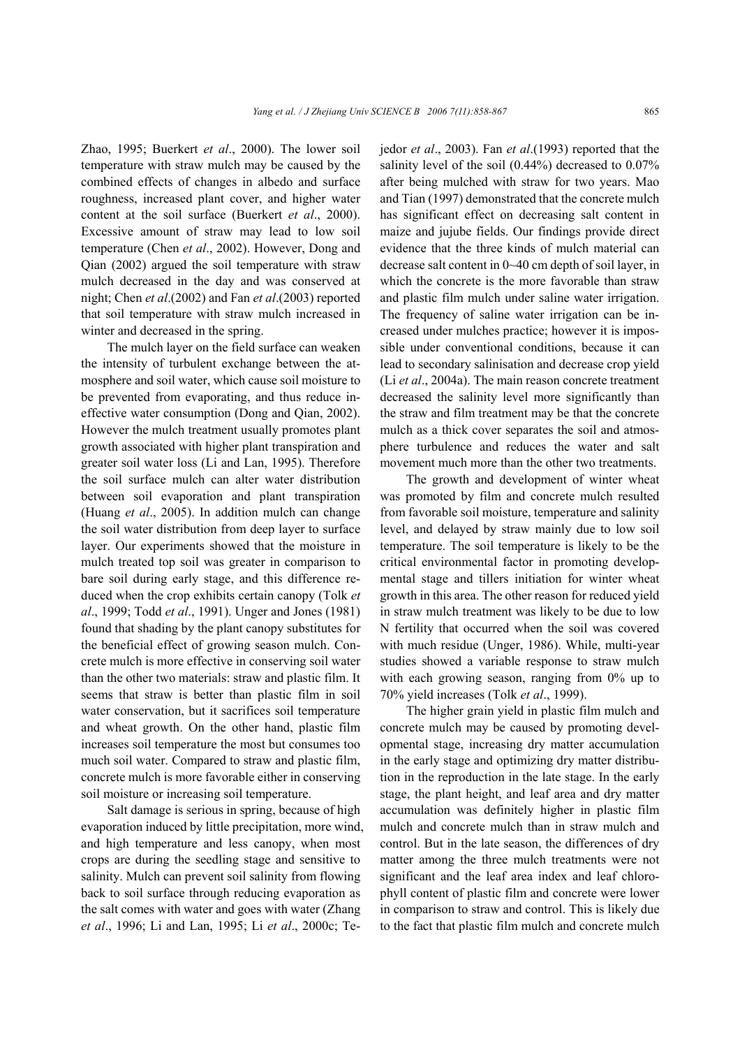Zhao, 1995; Buerkert *et al*., 2000). The lower soil temperature with straw mulch may be caused by the combined effects of changes in albedo and surface roughness, increased plant cover, and higher water content at the soil surface (Buerkert *et al*., 2000). Excessive amount of straw may lead to low soil temperature (Chen *et al*., 2002). However, Dong and Qian (2002) argued the soil temperature with straw mulch decreased in the day and was conserved at night; Chen *et al*.(2002) and Fan *et al*.(2003) reported that soil temperature with straw mulch increased in winter and decreased in the spring.

The mulch layer on the field surface can weaken the intensity of turbulent exchange between the atmosphere and soil water, which cause soil moisture to be prevented from evaporating, and thus reduce ineffective water consumption (Dong and Qian, 2002). However the mulch treatment usually promotes plant growth associated with higher plant transpiration and greater soil water loss (Li and Lan, 1995). Therefore the soil surface mulch can alter water distribution between soil evaporation and plant transpiration (Huang *et al*., 2005). In addition mulch can change the soil water distribution from deep layer to surface layer. Our experiments showed that the moisture in mulch treated top soil was greater in comparison to bare soil during early stage, and this difference reduced when the crop exhibits certain canopy (Tolk *et al*., 1999; Todd *et al*., 1991). Unger and Jones (1981) found that shading by the plant canopy substitutes for the beneficial effect of growing season mulch. Concrete mulch is more effective in conserving soil water than the other two materials: straw and plastic film. It seems that straw is better than plastic film in soil water conservation, but it sacrifices soil temperature and wheat growth. On the other hand, plastic film increases soil temperature the most but consumes too much soil water. Compared to straw and plastic film, concrete mulch is more favorable either in conserving soil moisture or increasing soil temperature.

Salt damage is serious in spring, because of high evaporation induced by little precipitation, more wind, and high temperature and less canopy, when most crops are during the seedling stage and sensitive to salinity. Mulch can prevent soil salinity from flowing back to soil surface through reducing evaporation as the salt comes with water and goes with water (Zhang *et al*., 1996; Li and Lan, 1995; Li *et al*., 2000c; Tejedor *et al*., 2003). Fan *et al*.(1993) reported that the salinity level of the soil (0.44%) decreased to 0.07% after being mulched with straw for two years. Mao and Tian (1997) demonstrated that the concrete mulch has significant effect on decreasing salt content in maize and jujube fields. Our findings provide direct evidence that the three kinds of mulch material can decrease salt content in 0~40 cm depth of soil layer, in which the concrete is the more favorable than straw and plastic film mulch under saline water irrigation. The frequency of saline water irrigation can be increased under mulches practice; however it is impossible under conventional conditions, because it can lead to secondary salinisation and decrease crop yield (Li *et al*., 2004a). The main reason concrete treatment decreased the salinity level more significantly than the straw and film treatment may be that the concrete mulch as a thick cover separates the soil and atmosphere turbulence and reduces the water and salt movement much more than the other two treatments.

The growth and development of winter wheat was promoted by film and concrete mulch resulted from favorable soil moisture, temperature and salinity level, and delayed by straw mainly due to low soil temperature. The soil temperature is likely to be the critical environmental factor in promoting developmental stage and tillers initiation for winter wheat growth in this area. The other reason for reduced yield in straw mulch treatment was likely to be due to low N fertility that occurred when the soil was covered with much residue (Unger, 1986). While, multi-year studies showed a variable response to straw mulch with each growing season, ranging from 0% up to 70% yield increases (Tolk *et al*., 1999).

The higher grain yield in plastic film mulch and concrete mulch may be caused by promoting developmental stage, increasing dry matter accumulation in the early stage and optimizing dry matter distribution in the reproduction in the late stage. In the early stage, the plant height, and leaf area and dry matter accumulation was definitely higher in plastic film mulch and concrete mulch than in straw mulch and control. But in the late season, the differences of dry matter among the three mulch treatments were not significant and the leaf area index and leaf chlorophyll content of plastic film and concrete were lower in comparison to straw and control. This is likely due to the fact that plastic film mulch and concrete mulch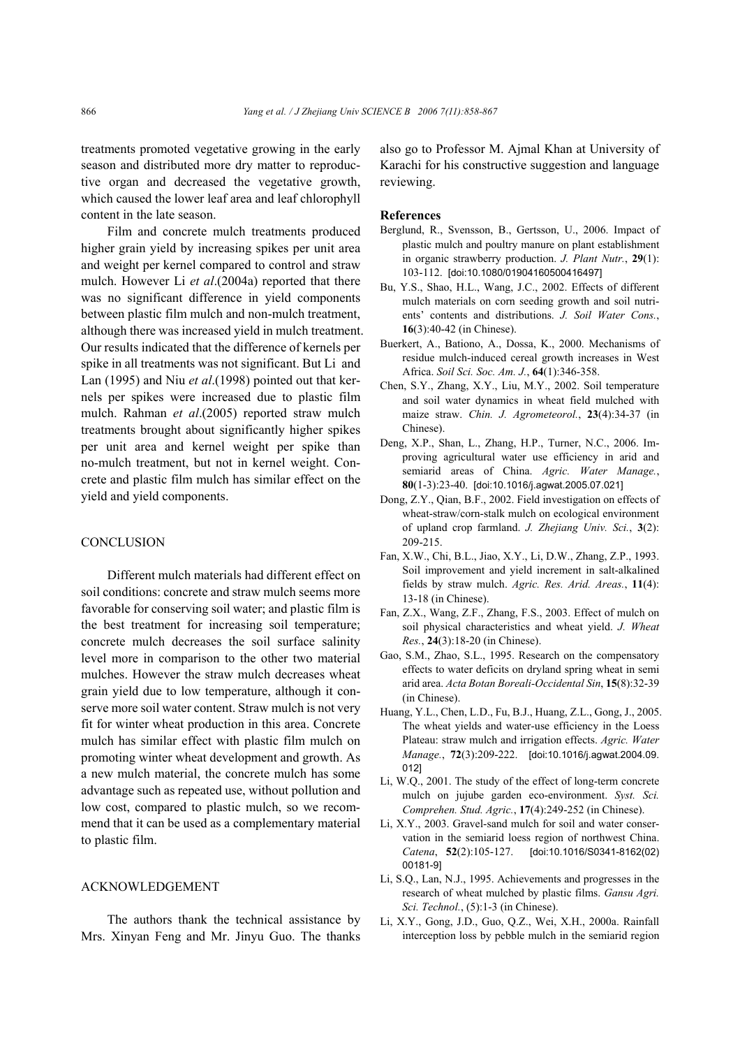treatments promoted vegetative growing in the early season and distributed more dry matter to reproductive organ and decreased the vegetative growth, which caused the lower leaf area and leaf chlorophyll content in the late season.

Film and concrete mulch treatments produced higher grain yield by increasing spikes per unit area and weight per kernel compared to control and straw mulch. However Li *et al*.(2004a) reported that there was no significant difference in yield components between plastic film mulch and non-mulch treatment, although there was increased yield in mulch treatment. Our results indicated that the difference of kernels per spike in all treatments was not significant. But Li and Lan (1995) and Niu *et al*.(1998) pointed out that kernels per spikes were increased due to plastic film mulch. Rahman *et al*.(2005) reported straw mulch treatments brought about significantly higher spikes per unit area and kernel weight per spike than no-mulch treatment, but not in kernel weight. Concrete and plastic film mulch has similar effect on the yield and yield components.

## **CONCLUSION**

Different mulch materials had different effect on soil conditions: concrete and straw mulch seems more favorable for conserving soil water; and plastic film is the best treatment for increasing soil temperature; concrete mulch decreases the soil surface salinity level more in comparison to the other two material mulches. However the straw mulch decreases wheat grain yield due to low temperature, although it conserve more soil water content. Straw mulch is not very fit for winter wheat production in this area. Concrete mulch has similar effect with plastic film mulch on promoting winter wheat development and growth. As a new mulch material, the concrete mulch has some advantage such as repeated use, without pollution and low cost, compared to plastic mulch, so we recommend that it can be used as a complementary material to plastic film.

#### ACKNOWLEDGEMENT

The authors thank the technical assistance by Mrs. Xinyan Feng and Mr. Jinyu Guo. The thanks also go to Professor M. Ajmal Khan at University of Karachi for his constructive suggestion and language reviewing.

#### **References**

- Berglund, R., Svensson, B., Gertsson, U., 2006. Impact of plastic mulch and poultry manure on plant establishment in organic strawberry production. *J. Plant Nutr.*, **29**(1): 103-112. [doi:10.1080/01904160500416497]
- Bu, Y.S., Shao, H.L., Wang, J.C., 2002. Effects of different mulch materials on corn seeding growth and soil nutrients' contents and distributions. *J. Soil Water Cons.*, **16**(3):40-42 (in Chinese).
- Buerkert, A., Bationo, A., Dossa, K., 2000. Mechanisms of residue mulch-induced cereal growth increases in West Africa. *Soil Sci. Soc. Am. J.*, **64**(1):346-358.
- Chen, S.Y., Zhang, X.Y., Liu, M.Y., 2002. Soil temperature and soil water dynamics in wheat field mulched with maize straw. *Chin. J. Agrometeorol.*, **23**(4):34-37 (in Chinese).
- Deng, X.P., Shan, L., Zhang, H.P., Turner, N.C., 2006. Improving agricultural water use efficiency in arid and semiarid areas of China. *Agric. Water Manage.*, **80**(1-3):23-40. [doi:10.1016/j.agwat.2005.07.021]
- Dong, Z.Y., Qian, B.F., 2002. Field investigation on effects of wheat-straw/corn-stalk mulch on ecological environment of upland crop farmland. *J. Zhejiang Univ. Sci.*, **3**(2): 209-215.
- Fan, X.W., Chi, B.L., Jiao, X.Y., Li, D.W., Zhang, Z.P., 1993. Soil improvement and yield increment in salt-alkalined fields by straw mulch. *Agric. Res. Arid. Areas.*, **11**(4): 13-18 (in Chinese).
- Fan, Z.X., Wang, Z.F., Zhang, F.S., 2003. Effect of mulch on soil physical characteristics and wheat yield. *J. Wheat Res.*, **24**(3):18-20 (in Chinese).
- Gao, S.M., Zhao, S.L., 1995. Research on the compensatory effects to water deficits on dryland spring wheat in semi arid area. *Acta Botan Boreali-Occidental Sin*, **15**(8):32-39 (in Chinese).
- Huang, Y.L., Chen, L.D., Fu, B.J., Huang, Z.L., Gong, J., 2005. The wheat yields and water-use efficiency in the Loess Plateau: straw mulch and irrigation effects. *Agric. Water Manage.*, **72**(3):209-222. [doi:10.1016/j.agwat.2004.09. 012]
- Li, W.Q., 2001. The study of the effect of long-term concrete mulch on jujube garden eco-environment. *Syst. Sci. Comprehen. Stud. Agric.*, **17**(4):249-252 (in Chinese).
- Li, X.Y., 2003. Gravel-sand mulch for soil and water conservation in the semiarid loess region of northwest China. *Catena*, **52**(2):105-127. [doi:10.1016/S0341-8162(02) 00181-9]
- Li, S.Q., Lan, N.J., 1995. Achievements and progresses in the research of wheat mulched by plastic films. *Gansu Agri. Sci. Technol.*, (5):1-3 (in Chinese).
- Li, X.Y., Gong, J.D., Guo, Q.Z., Wei, X.H., 2000a. Rainfall interception loss by pebble mulch in the semiarid region